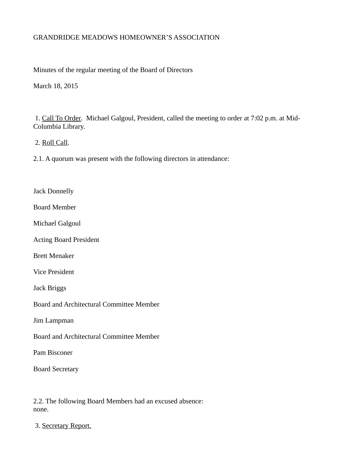## GRANDRIDGE MEADOWS HOMEOWNER'S ASSOCIATION

Minutes of the regular meeting of the Board of Directors

March 18, 2015

1. Call To Order. Michael Galgoul, President, called the meeting to order at 7:02 p.m. at Mid-Columbia Library.

2. Roll Call.

2.1. A quorum was present with the following directors in attendance:

Jack Donnelly

Board Member

Michael Galgoul

Acting Board President

Brett Menaker

Vice President

Jack Briggs

Board and Architectural Committee Member

Jim Lampman

Board and Architectural Committee Member

Pam Bisconer

Board Secretary

2.2. The following Board Members had an excused absence: none.

3. Secretary Report.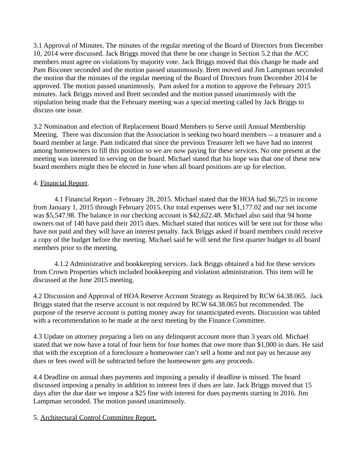3.1 Approval of Minutes. The minutes of the regular meeting of the Board of Directors from December 10, 2014 were discussed. Jack Briggs moved that there be one change in Section 5.2 that the ACC members must agree on violations by majority vote. Jack Briggs moved that this change be made and Pam Bisconer seconded and the motion passed unanimously. Brett moved and Jim Lampman seconded the motion that the minutes of the regular meeting of the Board of Directors from December 2014 be approved. The motion passed unanimously. Pam asked for a motion to approve the February 2015 minutes. Jack Briggs moved and Brett seconded and the motion passed unanimously with the stipulation being made that the February meeting was a special meeting called by Jack Briggs to discuss one issue.

3.2 Nomination and election of Replacement Board Members to Serve until Annual Membership Meeting. There was discussion that the Association is seeking two board members -- a treasurer and a board member at large. Pam indicated that since the previous Treasurer left we have had no interest among homeowners to fill this position so we are now paying for these services. No one present at the meeting was interested in serving on the board. Michael stated that his hope was that one of these new board members might then be elected in June when all board positions are up for election.

## 4. Financial Report.

4.1 Financial Report – February 28, 2015. Michael stated that the HOA had \$6,725 in income from January 1, 2015 through February 2015. Our total expenses were \$1,177.02 and our net income was \$5,547.98. The balance in our checking account is \$42,622.48. Michael also said that 94 home owners out of 140 have paid their 2015 dues. Michael stated that notices will be sent out for those who have not paid and they will have an interest penalty. Jack Briggs asked if board members could receive a copy of the budget before the meeting. Michael said he will send the first quarter budget to all board members prior to the meeting.

4.1.2 Administrative and bookkeeping services. Jack Briggs obtained a bid for these services from Crown Properties which included bookkeeping and violation administration. This item will be discussed at the June 2015 meeting.

4.2 Discussion and Approval of HOA Reserve Account Strategy as Required by RCW 64.38.065. Jack Briggs stated that the reserve account is not required by RCW 64.38.065 but recommended. The purpose of the reserve account is putting money away for unanticipated events. Discussion was tabled with a recommendation to be made at the next meeting by the Finance Committee.

4.3 Update on attorney preparing a lien on any delinquent account more than 3 years old. Michael stated that we now have a total of four liens for four homes that owe more than \$1,000 in dues. He said that with the exception of a foreclosure a homeowner can't sell a home and not pay us because any dues or fees owed will be subtracted before the homeowner gets any proceeds.

4.4 Deadline on annual dues payments and imposing a penalty if deadline is missed. The board discussed imposing a penalty in addition to interest fees if dues are late. Jack Briggs moved that 15 days after the due date we impose a \$25 fine with interest for dues payments starting in 2016. Jim Lampman seconded. The motion passed unanimously.

5. Architectural Control Committee Report.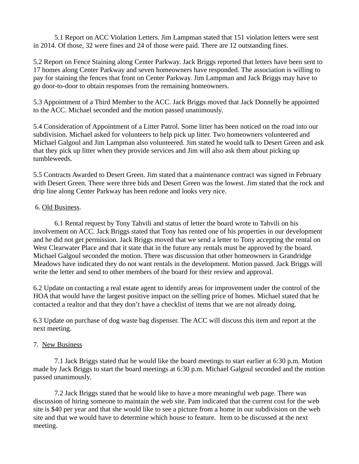5.1 Report on ACC Violation Letters. Jim Lampman stated that 151 violation letters were sent in 2014. Of those, 32 were fines and 24 of those were paid. There are 12 outstanding fines.

5.2 Report on Fence Staining along Center Parkway. Jack Briggs reported that letters have been sent to 17 homes along Center Parkway and seven homeowners have responded. The association is willing to pay for staining the fences that front on Center Parkway. Jim Lampman and Jack Briggs may have to go door-to-door to obtain responses from the remaining homeowners.

5.3 Appointment of a Third Member to the ACC. Jack Briggs moved that Jack Donnelly be appointed to the ACC. Michael seconded and the motion passed unanimously.

5.4 Consideration of Appointment of a Litter Patrol. Some litter has been noticed on the road into our subdivision. Michael asked for volunteers to help pick up litter. Two homeowners volunteered and Michael Galgoul and Jim Lampman also volunteered. Jim stated he would talk to Desert Green and ask that they pick up litter when they provide services and Jim will also ask them about picking up tumbleweeds.

5.5 Contracts Awarded to Desert Green. Jim stated that a maintenance contract was signed in February with Desert Green. There were three bids and Desert Green was the lowest. Jim stated that the rock and drip line along Center Parkway has been redone and looks very nice.

## 6. Old Business.

6.1 Rental request by Tony Tahvili and status of letter the board wrote to Tahvili on his involvement on ACC. Jack Briggs stated that Tony has rented one of his properties in our development and he did not get permission. Jack Briggs moved that we send a letter to Tony accepting the rental on West Clearwater Place and that it state that in the future any rentals must be approved by the board. Michael Galgoul seconded the motion. There was discussion that other homeowners in Grandridge Meadows have indicated they do not want rentals in the development. Motion passed. Jack Briggs will write the letter and send to other members of the board for their review and approval.

6.2 Update on contacting a real estate agent to identify areas for improvement under the control of the HOA that would have the largest positive impact on the selling price of homes. Michael stated that he contacted a realtor and that they don't have a checklist of items that we are not already doing.

6.3 Update on purchase of dog waste bag dispenser. The ACC will discuss this item and report at the next meeting.

## 7. New Business

7.1 Jack Briggs stated that he would like the board meetings to start earlier at 6:30 p.m. Motion made by Jack Briggs to start the board meetings at 6:30 p.m. Michael Galgoul seconded and the motion passed unanimously.

7.2 Jack Briggs stated that he would like to have a more meaningful web page. There was discussion of hiring someone to maintain the web site. Pam indicated that the current cost for the web site is \$40 per year and that she would like to see a picture from a home in our subdivision on the web site and that we would have to determine which house to feature. Item to be discussed at the next meeting.